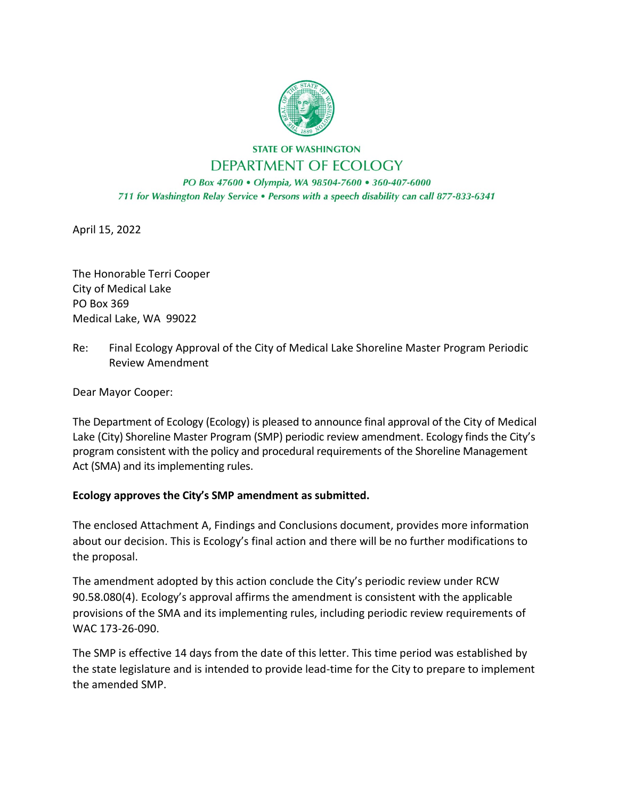

## **STATE OF WASHINGTON** DEPARTMENT OF ECOLOGY

PO Box 47600 · Olympia, WA 98504-7600 · 360-407-6000 711 for Washington Relay Service . Persons with a speech disability can call 877-833-6341

April 15, 2022

The Honorable Terri Cooper City of Medical Lake PO Box 369 Medical Lake, WA 99022

Re: Final Ecology Approval of the City of Medical Lake Shoreline Master Program Periodic Review Amendment

Dear Mayor Cooper:

The Department of Ecology (Ecology) is pleased to announce final approval of the City of Medical Lake (City) Shoreline Master Program (SMP) periodic review amendment. Ecology finds the City's program consistent with the policy and procedural requirements of the Shoreline Management Act (SMA) and its implementing rules.

## **Ecology approves the City's SMP amendment as submitted.**

The enclosed Attachment A, Findings and Conclusions document, provides more information about our decision. This is Ecology's final action and there will be no further modifications to the proposal.

The amendment adopted by this action conclude the City's periodic review under RCW 90.58.080(4). Ecology's approval affirms the amendment is consistent with the applicable provisions of the SMA and its implementing rules, including periodic review requirements of WAC 173-26-090.

The SMP is effective 14 days from the date of this letter. This time period was established by the state legislature and is intended to provide lead-time for the City to prepare to implement the amended SMP.